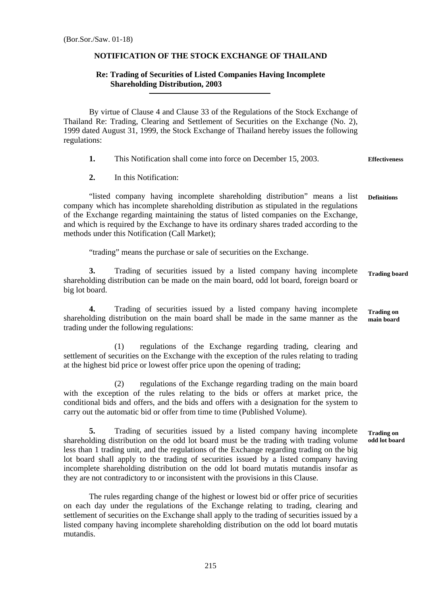## **NOTIFICATION OF THE STOCK EXCHANGE OF THAILAND**

## **Re: Trading of Securities of Listed Companies Having Incomplete Shareholding Distribution, 2003**

By virtue of Clause 4 and Clause 33 of the Regulations of the Stock Exchange of Thailand Re: Trading, Clearing and Settlement of Securities on the Exchange (No. 2), 1999 dated August 31, 1999, the Stock Exchange of Thailand hereby issues the following regulations:

**1.** This Notification shall come into force on December 15, 2003. **Effectiveness** 

**2.** In this Notification:

 "listed company having incomplete shareholding distribution" means a list company which has incomplete shareholding distribution as stipulated in the regulations of the Exchange regarding maintaining the status of listed companies on the Exchange, and which is required by the Exchange to have its ordinary shares traded according to the methods under this Notification (Call Market); **Definitions** 

"trading" means the purchase or sale of securities on the Exchange.

**3.** Trading of securities issued by a listed company having incomplete shareholding distribution can be made on the main board, odd lot board, foreign board or big lot board. **Trading board** 

**4.** Trading of securities issued by a listed company having incomplete shareholding distribution on the main board shall be made in the same manner as the trading under the following regulations: **Trading on main board** 

 (1) regulations of the Exchange regarding trading, clearing and settlement of securities on the Exchange with the exception of the rules relating to trading at the highest bid price or lowest offer price upon the opening of trading;

 (2) regulations of the Exchange regarding trading on the main board with the exception of the rules relating to the bids or offers at market price, the conditional bids and offers, and the bids and offers with a designation for the system to carry out the automatic bid or offer from time to time (Published Volume).

**5.** Trading of securities issued by a listed company having incomplete shareholding distribution on the odd lot board must be the trading with trading volume less than 1 trading unit, and the regulations of the Exchange regarding trading on the big lot board shall apply to the trading of securities issued by a listed company having incomplete shareholding distribution on the odd lot board mutatis mutandis insofar as they are not contradictory to or inconsistent with the provisions in this Clause. **Trading on odd lot board** 

The rules regarding change of the highest or lowest bid or offer price of securities on each day under the regulations of the Exchange relating to trading, clearing and settlement of securities on the Exchange shall apply to the trading of securities issued by a listed company having incomplete shareholding distribution on the odd lot board mutatis mutandis.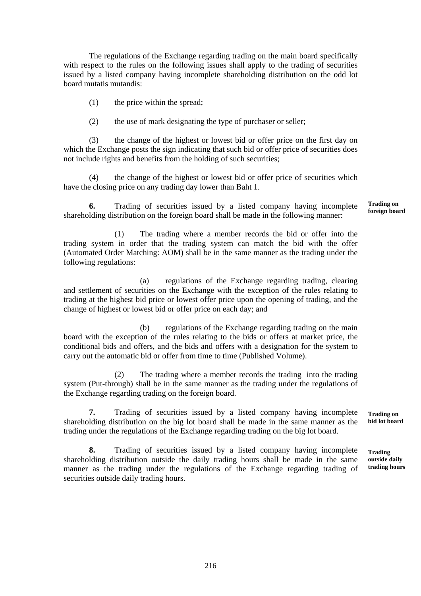The regulations of the Exchange regarding trading on the main board specifically with respect to the rules on the following issues shall apply to the trading of securities issued by a listed company having incomplete shareholding distribution on the odd lot board mutatis mutandis:

(1) the price within the spread;

(2) the use of mark designating the type of purchaser or seller;

 (3) the change of the highest or lowest bid or offer price on the first day on which the Exchange posts the sign indicating that such bid or offer price of securities does not include rights and benefits from the holding of such securities;

 (4) the change of the highest or lowest bid or offer price of securities which have the closing price on any trading day lower than Baht 1.

**6.** Trading of securities issued by a listed company having incomplete shareholding distribution on the foreign board shall be made in the following manner: **Trading on foreign board** 

 (1) The trading where a member records the bid or offer into the trading system in order that the trading system can match the bid with the offer (Automated Order Matching: AOM) shall be in the same manner as the trading under the following regulations:

 (a) regulations of the Exchange regarding trading, clearing and settlement of securities on the Exchange with the exception of the rules relating to trading at the highest bid price or lowest offer price upon the opening of trading, and the change of highest or lowest bid or offer price on each day; and

 (b) regulations of the Exchange regarding trading on the main board with the exception of the rules relating to the bids or offers at market price, the conditional bids and offers, and the bids and offers with a designation for the system to carry out the automatic bid or offer from time to time (Published Volume).

 (2) The trading where a member records the trading into the trading system (Put-through) shall be in the same manner as the trading under the regulations of the Exchange regarding trading on the foreign board.

**7.** Trading of securities issued by a listed company having incomplete shareholding distribution on the big lot board shall be made in the same manner as the trading under the regulations of the Exchange regarding trading on the big lot board.

**8.** Trading of securities issued by a listed company having incomplete shareholding distribution outside the daily trading hours shall be made in the same manner as the trading under the regulations of the Exchange regarding trading of securities outside daily trading hours. **Trading** 

**Trading on bid lot board** 

**outside daily trading hours**